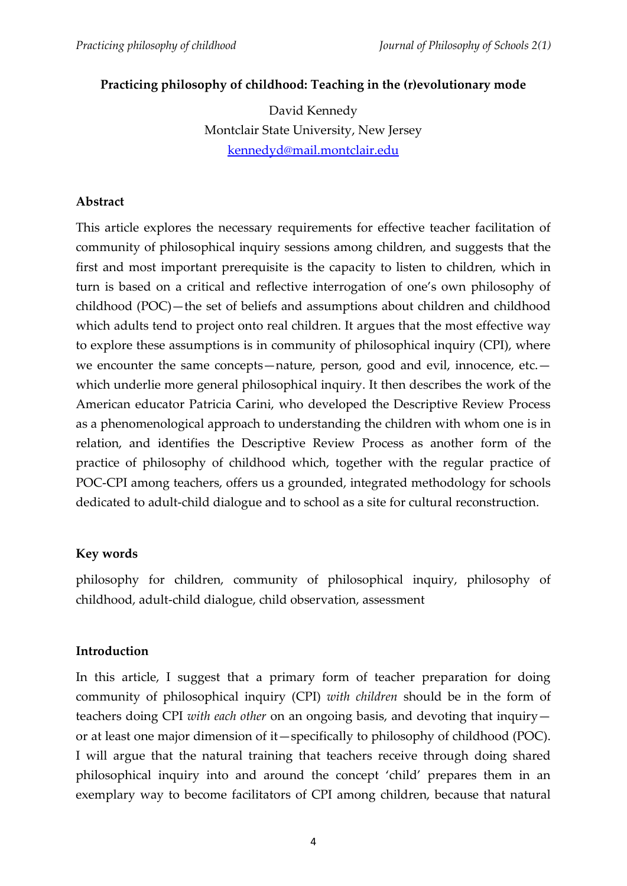### **Practicing philosophy of childhood: Teaching in the (r)evolutionary mode**

David Kennedy Montclair State University, New Jersey [kennedyd@mail.montclair.edu](mailto:kennedyd@mail.montclair.edu)

### **Abstract**

This article explores the necessary requirements for effective teacher facilitation of community of philosophical inquiry sessions among children, and suggests that the first and most important prerequisite is the capacity to listen to children, which in turn is based on a critical and reflective interrogation of one's own philosophy of childhood (POC)—the set of beliefs and assumptions about children and childhood which adults tend to project onto real children. It argues that the most effective way to explore these assumptions is in community of philosophical inquiry (CPI), where we encounter the same concepts—nature, person, good and evil, innocence, etc. which underlie more general philosophical inquiry. It then describes the work of the American educator Patricia Carini, who developed the Descriptive Review Process as a phenomenological approach to understanding the children with whom one is in relation, and identifies the Descriptive Review Process as another form of the practice of philosophy of childhood which, together with the regular practice of POC-CPI among teachers, offers us a grounded, integrated methodology for schools dedicated to adult-child dialogue and to school as a site for cultural reconstruction.

### **Key words**

philosophy for children, community of philosophical inquiry, philosophy of childhood, adult-child dialogue, child observation, assessment

#### **Introduction**

In this article, I suggest that a primary form of teacher preparation for doing community of philosophical inquiry (CPI) *with children* should be in the form of teachers doing CPI *with each other* on an ongoing basis, and devoting that inquiry or at least one major dimension of it—specifically to philosophy of childhood (POC). I will argue that the natural training that teachers receive through doing shared philosophical inquiry into and around the concept 'child' prepares them in an exemplary way to become facilitators of CPI among children, because that natural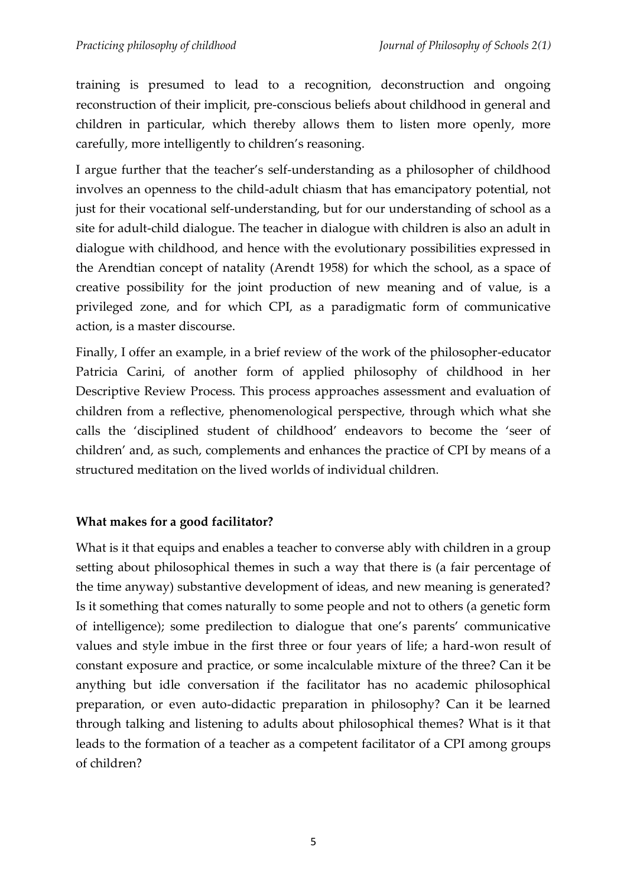training is presumed to lead to a recognition, deconstruction and ongoing reconstruction of their implicit, pre-conscious beliefs about childhood in general and children in particular, which thereby allows them to listen more openly, more carefully, more intelligently to children's reasoning.

I argue further that the teacher's self-understanding as a philosopher of childhood involves an openness to the child-adult chiasm that has emancipatory potential, not just for their vocational self-understanding, but for our understanding of school as a site for adult-child dialogue. The teacher in dialogue with children is also an adult in dialogue with childhood, and hence with the evolutionary possibilities expressed in the Arendtian concept of natality (Arendt 1958) for which the school, as a space of creative possibility for the joint production of new meaning and of value, is a privileged zone, and for which CPI, as a paradigmatic form of communicative action, is a master discourse.

Finally, I offer an example, in a brief review of the work of the philosopher-educator Patricia Carini, of another form of applied philosophy of childhood in her Descriptive Review Process. This process approaches assessment and evaluation of children from a reflective, phenomenological perspective, through which what she calls the 'disciplined student of childhood' endeavors to become the 'seer of children' and, as such, complements and enhances the practice of CPI by means of a structured meditation on the lived worlds of individual children.

## **What makes for a good facilitator?**

What is it that equips and enables a teacher to converse ably with children in a group setting about philosophical themes in such a way that there is (a fair percentage of the time anyway) substantive development of ideas, and new meaning is generated? Is it something that comes naturally to some people and not to others (a genetic form of intelligence); some predilection to dialogue that one's parents' communicative values and style imbue in the first three or four years of life; a hard-won result of constant exposure and practice, or some incalculable mixture of the three? Can it be anything but idle conversation if the facilitator has no academic philosophical preparation, or even auto-didactic preparation in philosophy? Can it be learned through talking and listening to adults about philosophical themes? What is it that leads to the formation of a teacher as a competent facilitator of a CPI among groups of children?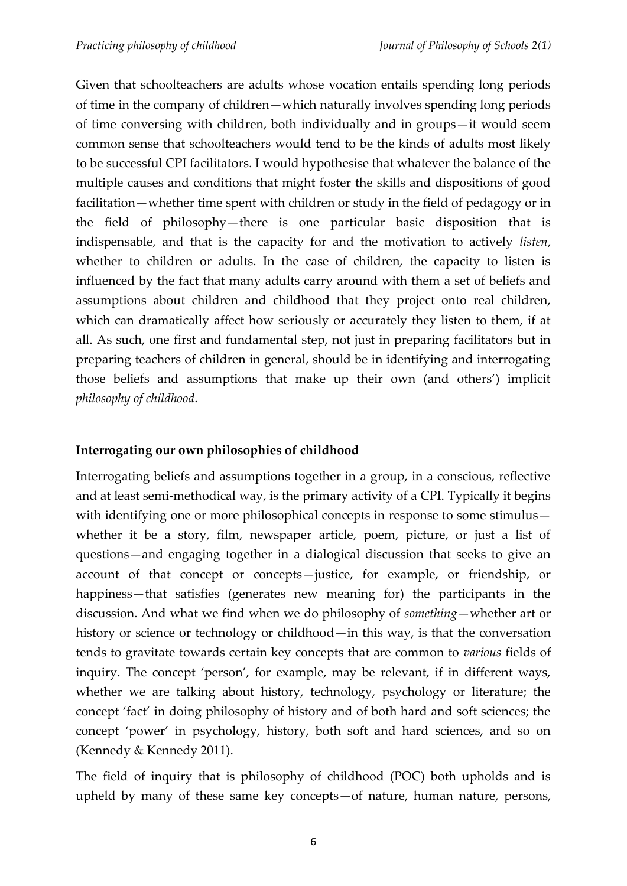Given that schoolteachers are adults whose vocation entails spending long periods of time in the company of children—which naturally involves spending long periods of time conversing with children, both individually and in groups—it would seem common sense that schoolteachers would tend to be the kinds of adults most likely to be successful CPI facilitators. I would hypothesise that whatever the balance of the multiple causes and conditions that might foster the skills and dispositions of good facilitation—whether time spent with children or study in the field of pedagogy or in the field of philosophy—there is one particular basic disposition that is indispensable, and that is the capacity for and the motivation to actively *listen*, whether to children or adults. In the case of children, the capacity to listen is influenced by the fact that many adults carry around with them a set of beliefs and assumptions about children and childhood that they project onto real children, which can dramatically affect how seriously or accurately they listen to them, if at all. As such, one first and fundamental step, not just in preparing facilitators but in preparing teachers of children in general, should be in identifying and interrogating those beliefs and assumptions that make up their own (and others') implicit *philosophy of childhood*.

### **Interrogating our own philosophies of childhood**

Interrogating beliefs and assumptions together in a group, in a conscious, reflective and at least semi-methodical way, is the primary activity of a CPI. Typically it begins with identifying one or more philosophical concepts in response to some stimulus whether it be a story, film, newspaper article, poem, picture, or just a list of questions—and engaging together in a dialogical discussion that seeks to give an account of that concept or concepts-justice, for example, or friendship, or happiness—that satisfies (generates new meaning for) the participants in the discussion. And what we find when we do philosophy of *something*—whether art or history or science or technology or childhood—in this way, is that the conversation tends to gravitate towards certain key concepts that are common to *various* fields of inquiry. The concept 'person', for example, may be relevant, if in different ways, whether we are talking about history, technology, psychology or literature; the concept 'fact' in doing philosophy of history and of both hard and soft sciences; the concept 'power' in psychology, history, both soft and hard sciences, and so on (Kennedy & Kennedy 2011).

The field of inquiry that is philosophy of childhood (POC) both upholds and is upheld by many of these same key concepts—of nature, human nature, persons,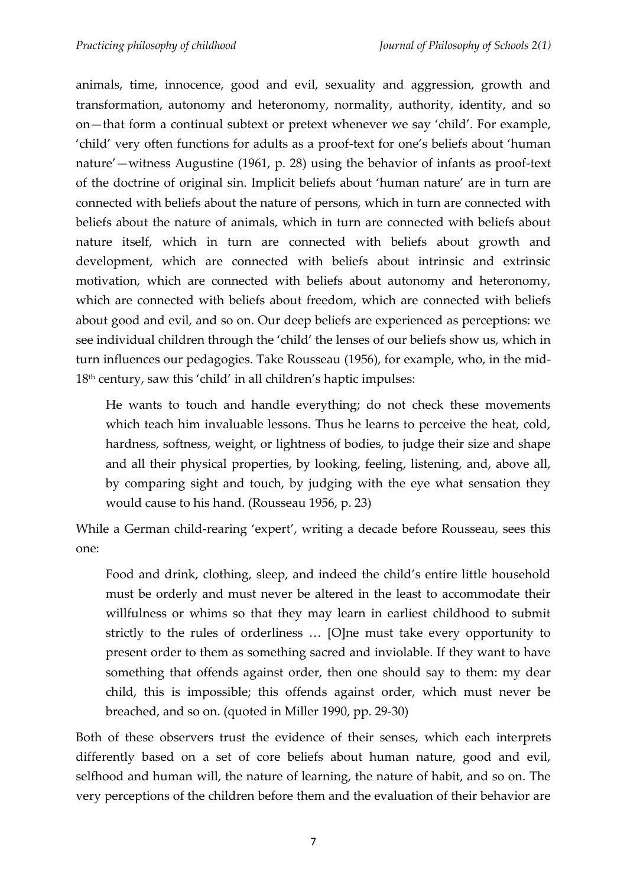animals, time, innocence, good and evil, sexuality and aggression, growth and transformation, autonomy and heteronomy, normality, authority, identity, and so on—that form a continual subtext or pretext whenever we say 'child'. For example, 'child' very often functions for adults as a proof-text for one's beliefs about 'human nature'—witness Augustine (1961, p. 28) using the behavior of infants as proof-text of the doctrine of original sin. Implicit beliefs about 'human nature' are in turn are connected with beliefs about the nature of persons, which in turn are connected with beliefs about the nature of animals, which in turn are connected with beliefs about nature itself, which in turn are connected with beliefs about growth and development, which are connected with beliefs about intrinsic and extrinsic motivation, which are connected with beliefs about autonomy and heteronomy, which are connected with beliefs about freedom, which are connected with beliefs about good and evil, and so on. Our deep beliefs are experienced as perceptions: we see individual children through the 'child' the lenses of our beliefs show us, which in turn influences our pedagogies. Take Rousseau (1956), for example, who, in the mid-18<sup>th</sup> century, saw this 'child' in all children's haptic impulses:

He wants to touch and handle everything; do not check these movements which teach him invaluable lessons. Thus he learns to perceive the heat, cold, hardness, softness, weight, or lightness of bodies, to judge their size and shape and all their physical properties, by looking, feeling, listening, and, above all, by comparing sight and touch, by judging with the eye what sensation they would cause to his hand. (Rousseau 1956, p. 23)

While a German child-rearing 'expert', writing a decade before Rousseau, sees this one:

Food and drink, clothing, sleep, and indeed the child's entire little household must be orderly and must never be altered in the least to accommodate their willfulness or whims so that they may learn in earliest childhood to submit strictly to the rules of orderliness … [O]ne must take every opportunity to present order to them as something sacred and inviolable. If they want to have something that offends against order, then one should say to them: my dear child, this is impossible; this offends against order, which must never be breached, and so on. (quoted in Miller 1990, pp. 29-30)

Both of these observers trust the evidence of their senses, which each interprets differently based on a set of core beliefs about human nature, good and evil, selfhood and human will, the nature of learning, the nature of habit, and so on. The very perceptions of the children before them and the evaluation of their behavior are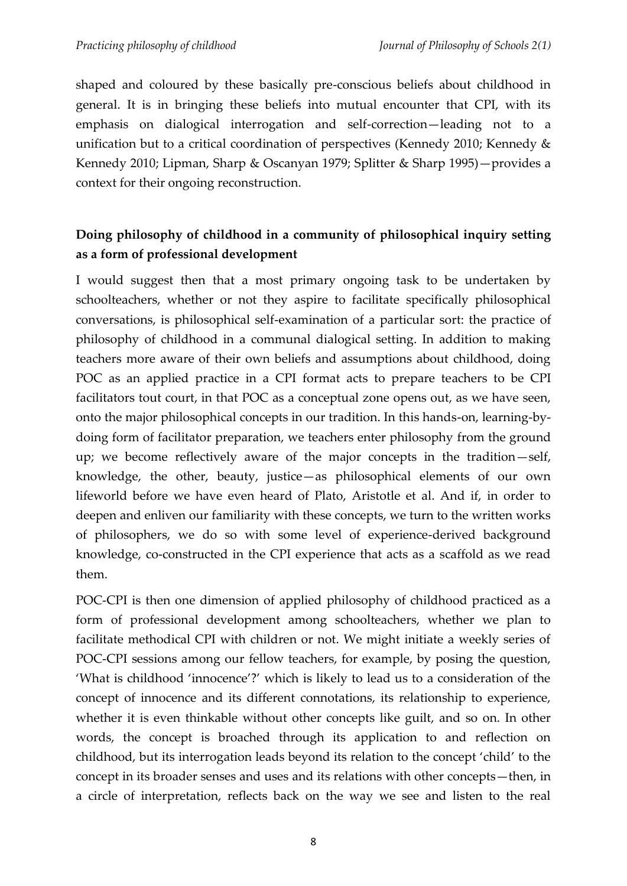shaped and coloured by these basically pre-conscious beliefs about childhood in general. It is in bringing these beliefs into mutual encounter that CPI, with its emphasis on dialogical interrogation and self-correction—leading not to a unification but to a critical coordination of perspectives (Kennedy 2010; Kennedy & Kennedy 2010; Lipman, Sharp & Oscanyan 1979; Splitter & Sharp 1995)—provides a context for their ongoing reconstruction.

# **Doing philosophy of childhood in a community of philosophical inquiry setting as a form of professional development**

I would suggest then that a most primary ongoing task to be undertaken by schoolteachers, whether or not they aspire to facilitate specifically philosophical conversations, is philosophical self-examination of a particular sort: the practice of philosophy of childhood in a communal dialogical setting. In addition to making teachers more aware of their own beliefs and assumptions about childhood, doing POC as an applied practice in a CPI format acts to prepare teachers to be CPI facilitators tout court, in that POC as a conceptual zone opens out, as we have seen, onto the major philosophical concepts in our tradition. In this hands-on, learning-bydoing form of facilitator preparation, we teachers enter philosophy from the ground up; we become reflectively aware of the major concepts in the tradition—self, knowledge, the other, beauty, justice—as philosophical elements of our own lifeworld before we have even heard of Plato, Aristotle et al. And if, in order to deepen and enliven our familiarity with these concepts, we turn to the written works of philosophers, we do so with some level of experience-derived background knowledge, co-constructed in the CPI experience that acts as a scaffold as we read them.

POC-CPI is then one dimension of applied philosophy of childhood practiced as a form of professional development among schoolteachers, whether we plan to facilitate methodical CPI with children or not. We might initiate a weekly series of POC-CPI sessions among our fellow teachers, for example, by posing the question, 'What is childhood 'innocence'?' which is likely to lead us to a consideration of the concept of innocence and its different connotations, its relationship to experience, whether it is even thinkable without other concepts like guilt, and so on. In other words, the concept is broached through its application to and reflection on childhood, but its interrogation leads beyond its relation to the concept 'child' to the concept in its broader senses and uses and its relations with other concepts—then, in a circle of interpretation, reflects back on the way we see and listen to the real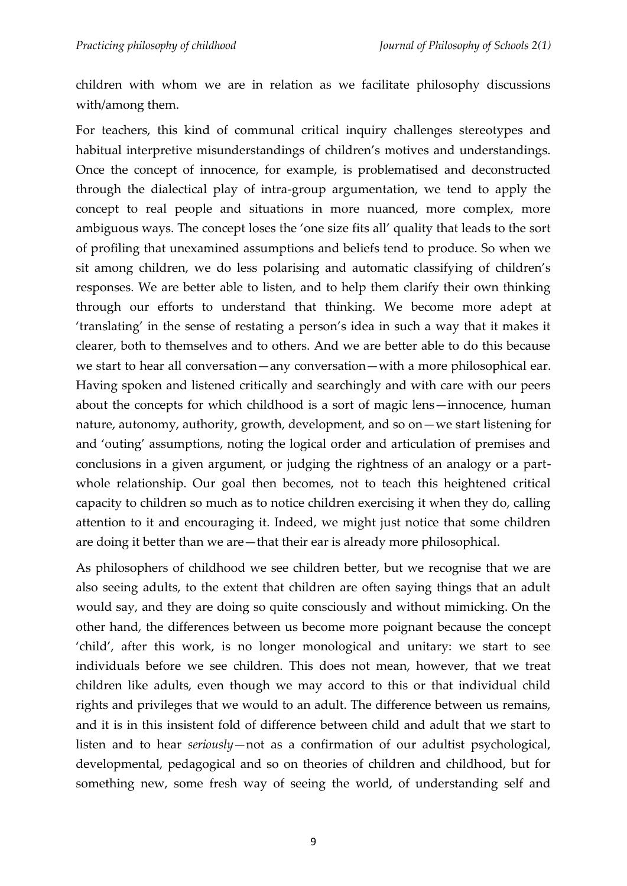children with whom we are in relation as we facilitate philosophy discussions with/among them.

For teachers, this kind of communal critical inquiry challenges stereotypes and habitual interpretive misunderstandings of children's motives and understandings. Once the concept of innocence, for example, is problematised and deconstructed through the dialectical play of intra-group argumentation, we tend to apply the concept to real people and situations in more nuanced, more complex, more ambiguous ways. The concept loses the 'one size fits all' quality that leads to the sort of profiling that unexamined assumptions and beliefs tend to produce. So when we sit among children, we do less polarising and automatic classifying of children's responses. We are better able to listen, and to help them clarify their own thinking through our efforts to understand that thinking. We become more adept at 'translating' in the sense of restating a person's idea in such a way that it makes it clearer, both to themselves and to others. And we are better able to do this because we start to hear all conversation—any conversation—with a more philosophical ear. Having spoken and listened critically and searchingly and with care with our peers about the concepts for which childhood is a sort of magic lens—innocence, human nature, autonomy, authority, growth, development, and so on—we start listening for and 'outing' assumptions, noting the logical order and articulation of premises and conclusions in a given argument, or judging the rightness of an analogy or a partwhole relationship. Our goal then becomes, not to teach this heightened critical capacity to children so much as to notice children exercising it when they do, calling attention to it and encouraging it. Indeed, we might just notice that some children are doing it better than we are—that their ear is already more philosophical.

As philosophers of childhood we see children better, but we recognise that we are also seeing adults, to the extent that children are often saying things that an adult would say, and they are doing so quite consciously and without mimicking. On the other hand, the differences between us become more poignant because the concept 'child', after this work, is no longer monological and unitary: we start to see individuals before we see children. This does not mean, however, that we treat children like adults, even though we may accord to this or that individual child rights and privileges that we would to an adult. The difference between us remains, and it is in this insistent fold of difference between child and adult that we start to listen and to hear *seriously*—not as a confirmation of our adultist psychological, developmental, pedagogical and so on theories of children and childhood, but for something new, some fresh way of seeing the world, of understanding self and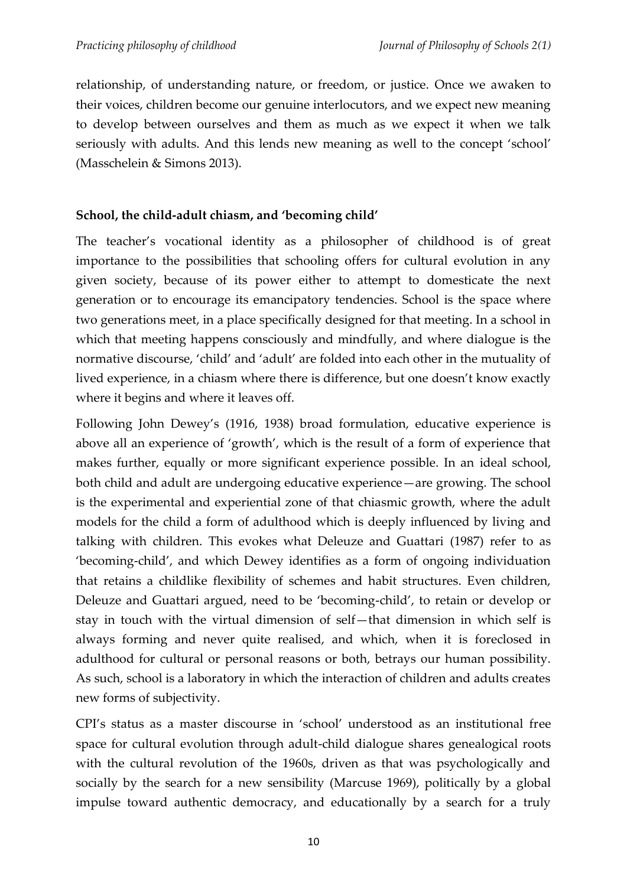relationship, of understanding nature, or freedom, or justice. Once we awaken to their voices, children become our genuine interlocutors, and we expect new meaning to develop between ourselves and them as much as we expect it when we talk seriously with adults. And this lends new meaning as well to the concept 'school' (Masschelein & Simons 2013).

### **School, the child-adult chiasm, and 'becoming child'**

The teacher's vocational identity as a philosopher of childhood is of great importance to the possibilities that schooling offers for cultural evolution in any given society, because of its power either to attempt to domesticate the next generation or to encourage its emancipatory tendencies. School is the space where two generations meet, in a place specifically designed for that meeting. In a school in which that meeting happens consciously and mindfully, and where dialogue is the normative discourse, 'child' and 'adult' are folded into each other in the mutuality of lived experience, in a chiasm where there is difference, but one doesn't know exactly where it begins and where it leaves off.

Following John Dewey's (1916, 1938) broad formulation, educative experience is above all an experience of 'growth', which is the result of a form of experience that makes further, equally or more significant experience possible. In an ideal school, both child and adult are undergoing educative experience—are growing. The school is the experimental and experiential zone of that chiasmic growth, where the adult models for the child a form of adulthood which is deeply influenced by living and talking with children. This evokes what Deleuze and Guattari (1987) refer to as 'becoming-child', and which Dewey identifies as a form of ongoing individuation that retains a childlike flexibility of schemes and habit structures. Even children, Deleuze and Guattari argued, need to be 'becoming-child', to retain or develop or stay in touch with the virtual dimension of self—that dimension in which self is always forming and never quite realised, and which, when it is foreclosed in adulthood for cultural or personal reasons or both, betrays our human possibility. As such, school is a laboratory in which the interaction of children and adults creates new forms of subjectivity.

CPI's status as a master discourse in 'school' understood as an institutional free space for cultural evolution through adult-child dialogue shares genealogical roots with the cultural revolution of the 1960s, driven as that was psychologically and socially by the search for a new sensibility (Marcuse 1969), politically by a global impulse toward authentic democracy, and educationally by a search for a truly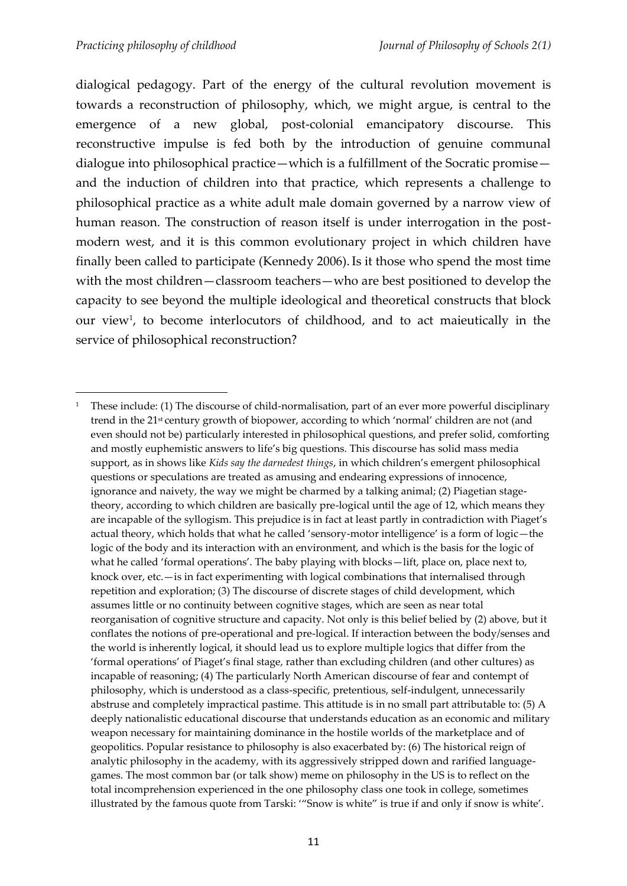<u>.</u>

dialogical pedagogy. Part of the energy of the cultural revolution movement is towards a reconstruction of philosophy, which, we might argue, is central to the emergence of a new global, post-colonial emancipatory discourse. This reconstructive impulse is fed both by the introduction of genuine communal dialogue into philosophical practice—which is a fulfillment of the Socratic promise and the induction of children into that practice, which represents a challenge to philosophical practice as a white adult male domain governed by a narrow view of human reason. The construction of reason itself is under interrogation in the postmodern west, and it is this common evolutionary project in which children have finally been called to participate (Kennedy 2006). Is it those who spend the most time with the most children—classroom teachers—who are best positioned to develop the capacity to see beyond the multiple ideological and theoretical constructs that block our view<sup>1</sup> , to become interlocutors of childhood, and to act maieutically in the service of philosophical reconstruction?

<sup>&</sup>lt;sup>1</sup> These include: (1) The discourse of child-normalisation, part of an ever more powerful disciplinary trend in the 21st century growth of biopower, according to which 'normal' children are not (and even should not be) particularly interested in philosophical questions, and prefer solid, comforting and mostly euphemistic answers to life's big questions. This discourse has solid mass media support, as in shows like *Kids say the darnedest things*, in which children's emergent philosophical questions or speculations are treated as amusing and endearing expressions of innocence, ignorance and naivety, the way we might be charmed by a talking animal; (2) Piagetian stagetheory, according to which children are basically pre-logical until the age of 12, which means they are incapable of the syllogism. This prejudice is in fact at least partly in contradiction with Piaget's actual theory, which holds that what he called 'sensory-motor intelligence' is a form of logic—the logic of the body and its interaction with an environment, and which is the basis for the logic of what he called 'formal operations'. The baby playing with blocks—lift, place on, place next to, knock over, etc.—is in fact experimenting with logical combinations that internalised through repetition and exploration; (3) The discourse of discrete stages of child development, which assumes little or no continuity between cognitive stages, which are seen as near total reorganisation of cognitive structure and capacity. Not only is this belief belied by (2) above, but it conflates the notions of pre-operational and pre-logical. If interaction between the body/senses and the world is inherently logical, it should lead us to explore multiple logics that differ from the 'formal operations' of Piaget's final stage, rather than excluding children (and other cultures) as incapable of reasoning; (4) The particularly North American discourse of fear and contempt of philosophy, which is understood as a class-specific, pretentious, self-indulgent, unnecessarily abstruse and completely impractical pastime. This attitude is in no small part attributable to: (5) A deeply nationalistic educational discourse that understands education as an economic and military weapon necessary for maintaining dominance in the hostile worlds of the marketplace and of geopolitics. Popular resistance to philosophy is also exacerbated by: (6) The historical reign of analytic philosophy in the academy, with its aggressively stripped down and rarified languagegames. The most common bar (or talk show) meme on philosophy in the US is to reflect on the total incomprehension experienced in the one philosophy class one took in college, sometimes illustrated by the famous quote from Tarski: '"Snow is white" is true if and only if snow is white'.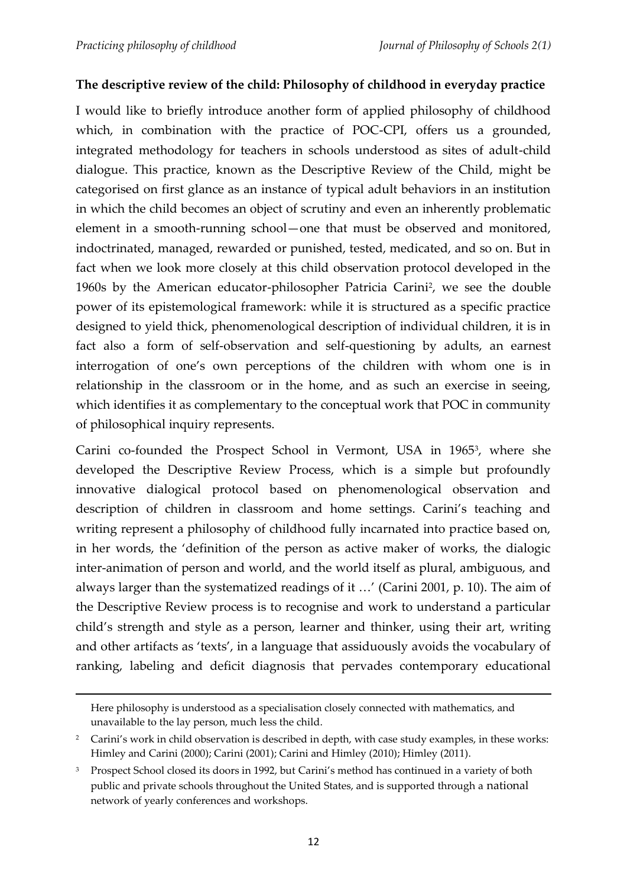<u>.</u>

# **The descriptive review of the child: Philosophy of childhood in everyday practice**

I would like to briefly introduce another form of applied philosophy of childhood which, in combination with the practice of POC-CPI, offers us a grounded, integrated methodology for teachers in schools understood as sites of adult-child dialogue. This practice, known as the Descriptive Review of the Child, might be categorised on first glance as an instance of typical adult behaviors in an institution in which the child becomes an object of scrutiny and even an inherently problematic element in a smooth-running school—one that must be observed and monitored, indoctrinated, managed, rewarded or punished, tested, medicated, and so on. But in fact when we look more closely at this child observation protocol developed in the 1960s by the American educator-philosopher Patricia Carini<sup>2</sup> , we see the double power of its epistemological framework: while it is structured as a specific practice designed to yield thick, phenomenological description of individual children, it is in fact also a form of self-observation and self-questioning by adults, an earnest interrogation of one's own perceptions of the children with whom one is in relationship in the classroom or in the home, and as such an exercise in seeing, which identifies it as complementary to the conceptual work that POC in community of philosophical inquiry represents.

Carini co-founded the Prospect School in Vermont, USA in 1965<sup>3</sup> , where she developed the Descriptive Review Process, which is a simple but profoundly innovative dialogical protocol based on phenomenological observation and description of children in classroom and home settings. Carini's teaching and writing represent a philosophy of childhood fully incarnated into practice based on, in her words, the 'definition of the person as active maker of works, the dialogic inter-animation of person and world, and the world itself as plural, ambiguous, and always larger than the systematized readings of it …' (Carini 2001, p. 10). The aim of the Descriptive Review process is to recognise and work to understand a particular child's strength and style as a person, learner and thinker, using their art, writing and other artifacts as 'texts', in a language that assiduously avoids the vocabulary of ranking, labeling and deficit diagnosis that pervades contemporary educational

Here philosophy is understood as a specialisation closely connected with mathematics, and unavailable to the lay person, much less the child.

<sup>&</sup>lt;sup>2</sup> Carini's work in child observation is described in depth, with case study examples, in these works: Himley and Carini (2000); Carini (2001); Carini and Himley (2010); Himley (2011).

<sup>&</sup>lt;sup>3</sup> Prospect School closed its doors in 1992, but Carini's method has continued in a variety of both public and private schools throughout the United States, and is supported through a national network of yearly conferences and workshops.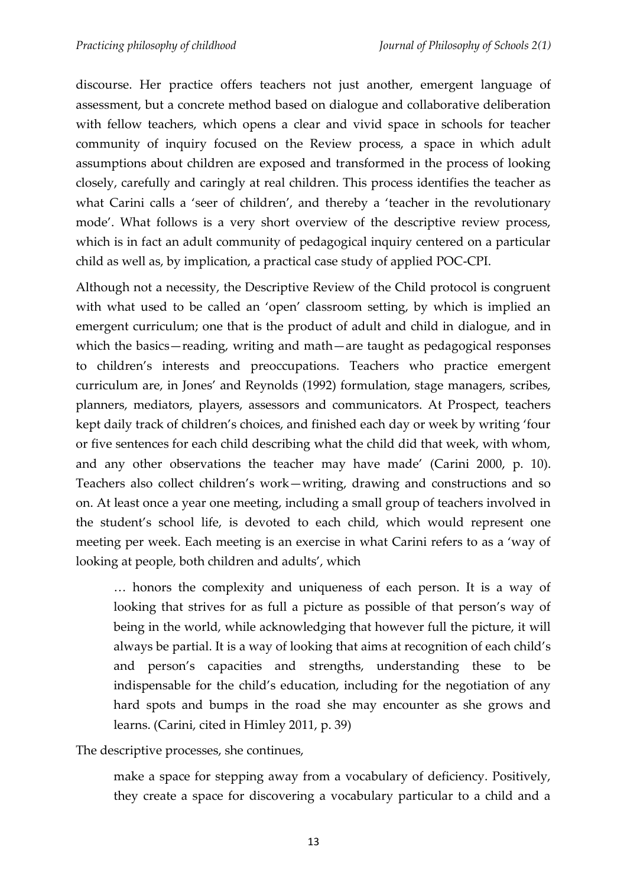discourse. Her practice offers teachers not just another, emergent language of assessment, but a concrete method based on dialogue and collaborative deliberation with fellow teachers, which opens a clear and vivid space in schools for teacher community of inquiry focused on the Review process, a space in which adult assumptions about children are exposed and transformed in the process of looking closely, carefully and caringly at real children. This process identifies the teacher as what Carini calls a 'seer of children', and thereby a 'teacher in the revolutionary mode'. What follows is a very short overview of the descriptive review process, which is in fact an adult community of pedagogical inquiry centered on a particular child as well as, by implication, a practical case study of applied POC-CPI.

Although not a necessity, the Descriptive Review of the Child protocol is congruent with what used to be called an 'open' classroom setting, by which is implied an emergent curriculum; one that is the product of adult and child in dialogue, and in which the basics—reading, writing and math—are taught as pedagogical responses to children's interests and preoccupations. Teachers who practice emergent curriculum are, in Jones' and Reynolds (1992) formulation, stage managers, scribes, planners, mediators, players, assessors and communicators. At Prospect, teachers kept daily track of children's choices, and finished each day or week by writing 'four or five sentences for each child describing what the child did that week, with whom, and any other observations the teacher may have made' (Carini 2000, p. 10). Teachers also collect children's work—writing, drawing and constructions and so on. At least once a year one meeting, including a small group of teachers involved in the student's school life, is devoted to each child, which would represent one meeting per week. Each meeting is an exercise in what Carini refers to as a 'way of looking at people, both children and adults', which

… honors the complexity and uniqueness of each person. It is a way of looking that strives for as full a picture as possible of that person's way of being in the world, while acknowledging that however full the picture, it will always be partial. It is a way of looking that aims at recognition of each child's and person's capacities and strengths, understanding these to be indispensable for the child's education, including for the negotiation of any hard spots and bumps in the road she may encounter as she grows and learns. (Carini, cited in Himley 2011, p. 39)

The descriptive processes, she continues,

make a space for stepping away from a vocabulary of deficiency. Positively, they create a space for discovering a vocabulary particular to a child and a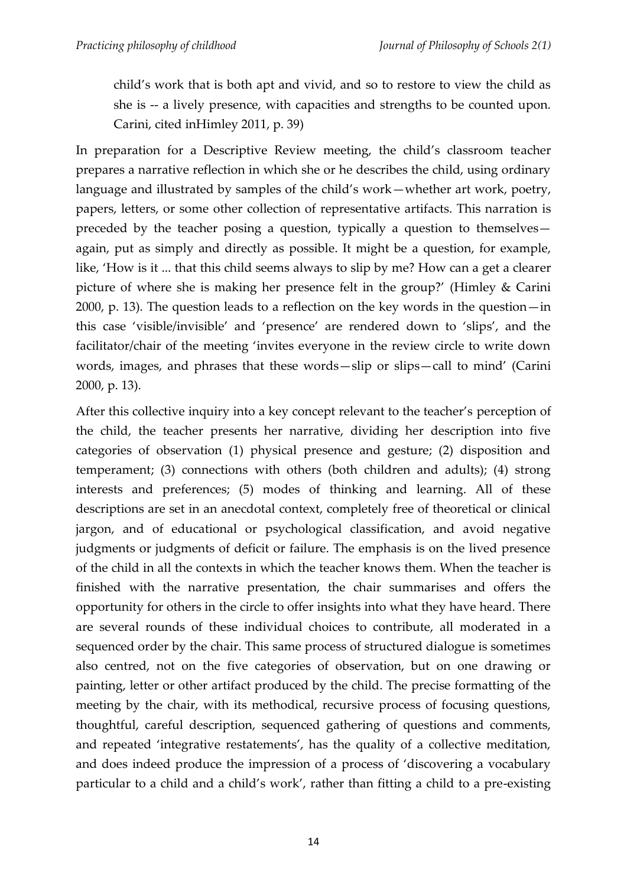child's work that is both apt and vivid, and so to restore to view the child as she is -- a lively presence, with capacities and strengths to be counted upon. Carini, cited inHimley 2011, p. 39)

In preparation for a Descriptive Review meeting, the child's classroom teacher prepares a narrative reflection in which she or he describes the child, using ordinary language and illustrated by samples of the child's work—whether art work, poetry, papers, letters, or some other collection of representative artifacts. This narration is preceded by the teacher posing a question, typically a question to themselves again, put as simply and directly as possible. It might be a question, for example, like, 'How is it ... that this child seems always to slip by me? How can a get a clearer picture of where she is making her presence felt in the group?' (Himley & Carini 2000, p. 13). The question leads to a reflection on the key words in the question—in this case 'visible/invisible' and 'presence' are rendered down to 'slips', and the facilitator/chair of the meeting 'invites everyone in the review circle to write down words, images, and phrases that these words—slip or slips—call to mind' (Carini 2000, p. 13).

After this collective inquiry into a key concept relevant to the teacher's perception of the child, the teacher presents her narrative, dividing her description into five categories of observation (1) physical presence and gesture; (2) disposition and temperament; (3) connections with others (both children and adults); (4) strong interests and preferences; (5) modes of thinking and learning. All of these descriptions are set in an anecdotal context, completely free of theoretical or clinical jargon, and of educational or psychological classification, and avoid negative judgments or judgments of deficit or failure. The emphasis is on the lived presence of the child in all the contexts in which the teacher knows them. When the teacher is finished with the narrative presentation, the chair summarises and offers the opportunity for others in the circle to offer insights into what they have heard. There are several rounds of these individual choices to contribute, all moderated in a sequenced order by the chair. This same process of structured dialogue is sometimes also centred, not on the five categories of observation, but on one drawing or painting, letter or other artifact produced by the child. The precise formatting of the meeting by the chair, with its methodical, recursive process of focusing questions, thoughtful, careful description, sequenced gathering of questions and comments, and repeated 'integrative restatements', has the quality of a collective meditation, and does indeed produce the impression of a process of 'discovering a vocabulary particular to a child and a child's work', rather than fitting a child to a pre-existing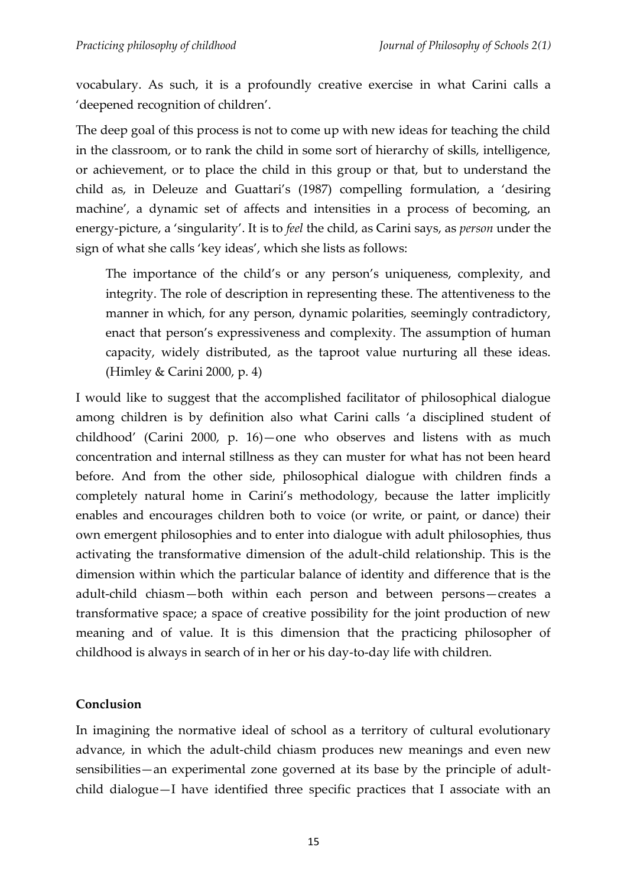vocabulary. As such, it is a profoundly creative exercise in what Carini calls a 'deepened recognition of children'.

The deep goal of this process is not to come up with new ideas for teaching the child in the classroom, or to rank the child in some sort of hierarchy of skills, intelligence, or achievement, or to place the child in this group or that, but to understand the child as, in Deleuze and Guattari's (1987) compelling formulation, a 'desiring machine', a dynamic set of affects and intensities in a process of becoming, an energy-picture, a 'singularity'. It is to *feel* the child, as Carini says, as *person* under the sign of what she calls 'key ideas', which she lists as follows:

The importance of the child's or any person's uniqueness, complexity, and integrity. The role of description in representing these. The attentiveness to the manner in which, for any person, dynamic polarities, seemingly contradictory, enact that person's expressiveness and complexity. The assumption of human capacity, widely distributed, as the taproot value nurturing all these ideas. (Himley & Carini 2000, p. 4)

I would like to suggest that the accomplished facilitator of philosophical dialogue among children is by definition also what Carini calls 'a disciplined student of childhood' (Carini 2000, p. 16)—one who observes and listens with as much concentration and internal stillness as they can muster for what has not been heard before. And from the other side, philosophical dialogue with children finds a completely natural home in Carini's methodology, because the latter implicitly enables and encourages children both to voice (or write, or paint, or dance) their own emergent philosophies and to enter into dialogue with adult philosophies, thus activating the transformative dimension of the adult-child relationship. This is the dimension within which the particular balance of identity and difference that is the adult-child chiasm—both within each person and between persons—creates a transformative space; a space of creative possibility for the joint production of new meaning and of value. It is this dimension that the practicing philosopher of childhood is always in search of in her or his day-to-day life with children.

### **Conclusion**

In imagining the normative ideal of school as a territory of cultural evolutionary advance, in which the adult-child chiasm produces new meanings and even new sensibilities—an experimental zone governed at its base by the principle of adultchild dialogue—I have identified three specific practices that I associate with an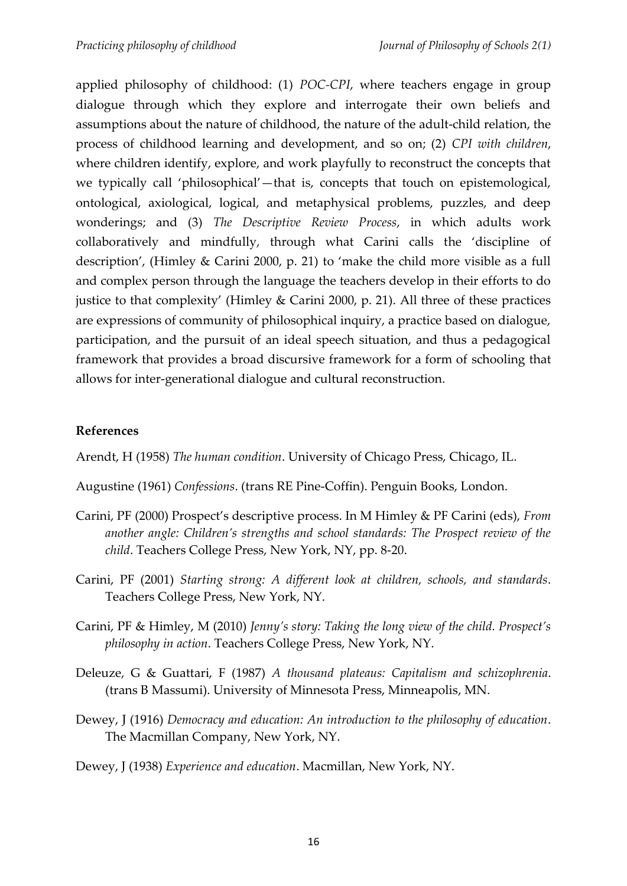applied philosophy of childhood: (1) *POC-CPI*, where teachers engage in group dialogue through which they explore and interrogate their own beliefs and assumptions about the nature of childhood, the nature of the adult-child relation, the process of childhood learning and development, and so on; (2) *CPI with children*, where children identify, explore, and work playfully to reconstruct the concepts that we typically call 'philosophical'—that is, concepts that touch on epistemological, ontological, axiological, logical, and metaphysical problems, puzzles, and deep wonderings; and (3) *The Descriptive Review Process*, in which adults work collaboratively and mindfully, through what Carini calls the 'discipline of description', (Himley & Carini 2000, p. 21) to 'make the child more visible as a full and complex person through the language the teachers develop in their efforts to do justice to that complexity' (Himley & Carini 2000, p. 21). All three of these practices are expressions of community of philosophical inquiry, a practice based on dialogue, participation, and the pursuit of an ideal speech situation, and thus a pedagogical framework that provides a broad discursive framework for a form of schooling that allows for inter-generational dialogue and cultural reconstruction.

### **References**

Arendt, H (1958) *The human condition*. University of Chicago Press, Chicago, IL.

- Augustine (1961) *Confessions*. (trans RE Pine-Coffin). Penguin Books, London.
- Carini, PF (2000) Prospect's descriptive process. In M Himley & PF Carini (eds), *From another angle: Children's strengths and school standards: The Prospect review of the child*. Teachers College Press, New York, NY, pp. 8-20.
- Carini, PF (2001) *Starting strong: A different look at children, schools, and standards*. Teachers College Press, New York, NY.
- Carini, PF & Himley, M (2010) *Jenny's story: Taking the long view of the child. Prospect's philosophy in action*. Teachers College Press, New York, NY.
- Deleuze, G & Guattari, F (1987) *A thousand plateaus: Capitalism and schizophrenia*. (trans B Massumi). University of Minnesota Press, Minneapolis, MN.
- Dewey, J (1916) *Democracy and education: An introduction to the philosophy of education*. The Macmillan Company, New York, NY.

Dewey, J (1938) *Experience and education*. Macmillan, New York, NY.